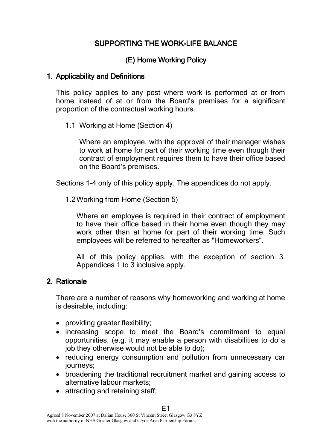# SUPPORTING THE WORK-LIFE BALANCE

# (E) Home Working Policy

#### 1. Applicability and Definitions

This policy applies to any post where work is performed at or from home instead of at or from the Board's premises for a significant proportion of the contractual working hours.

1.1 Working at Home (Section 4)

Where an employee, with the approval of their manager wishes to work at home for part of their working time even though their contract of employment requires them to have their office based on the Board's premises.

Sections 1-4 only of this policy apply. The appendices do not apply.

1.2Working from Home (Section 5)

Where an employee is required in their contract of employment to have their office based in their home even though they may work other than at home for part of their working time. Such employees will be referred to hereafter as "Homeworkers".

All of this policy applies, with the exception of section 3. Appendices 1 to 3 inclusive apply.

#### 2. Rationale

There are a number of reasons why homeworking and working at home is desirable, including:

- providing greater flexibility;
- increasing scope to meet the Board's commitment to equal opportunities, (e.g. it may enable a person with disabilities to do a job they otherwise would not be able to do);
- reducing energy consumption and pollution from unnecessary car journeys;
- broadening the traditional recruitment market and gaining access to alternative labour markets;
- attracting and retaining staff;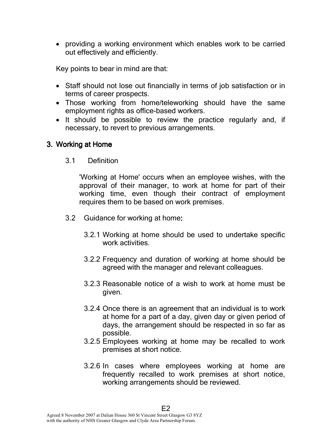• providing a working environment which enables work to be carried out effectively and efficiently.

Key points to bear in mind are that:

- Staff should not lose out financially in terms of job satisfaction or in terms of career prospects.
- Those working from home/teleworking should have the same employment rights as office-based workers.
- It should be possible to review the practice regularly and, if necessary, to revert to previous arrangements.

# 3. Working at Home

3.1 Definition

'Working at Home' occurs when an employee wishes, with the approval of their manager, to work at home for part of their working time, even though their contract of employment requires them to be based on work premises.

- 3.2 Guidance for working at home:
	- 3.2.1 Working at home should be used to undertake specific work activities.
	- 3.2.2 Frequency and duration of working at home should be agreed with the manager and relevant colleagues.
	- 3.2.3 Reasonable notice of a wish to work at home must be given.
	- 3.2.4 Once there is an agreement that an individual is to work at home for a part of a day, given day or given period of days, the arrangement should be respected in so far as possible.
	- 3.2.5 Employees working at home may be recalled to work premises at short notice.
	- 3.2.6 In cases where employees working at home are frequently recalled to work premises at short notice, working arrangements should be reviewed.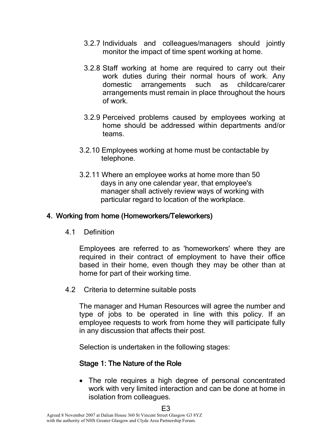- 3.2.7 Individuals and colleagues/managers should jointly monitor the impact of time spent working at home.
- 3.2.8 Staff working at home are required to carry out their work duties during their normal hours of work. Any domestic arrangements such as childcare/carer arrangements must remain in place throughout the hours of work.
- 3.2.9 Perceived problems caused by employees working at home should be addressed within departments and/or teams.
- 3.2.10 Employees working at home must be contactable by telephone.
- 3.2.11 Where an employee works at home more than 50 days in any one calendar year, that employee's manager shall actively review ways of working with particular regard to location of the workplace.

## 4. Working from home (Homeworkers/Teleworkers)

4.1 Definition

Employees are referred to as 'homeworkers' where they are required in their contract of employment to have their office based in their home, even though they may be other than at home for part of their working time.

4.2 Criteria to determine suitable posts

The manager and Human Resources will agree the number and type of jobs to be operated in line with this policy. If an employee requests to work from home they will participate fully in any discussion that affects their post.

Selection is undertaken in the following stages:

# Stage 1: The Nature of the Role

• The role requires a high degree of personal concentrated work with very limited interaction and can be done at home in isolation from colleagues.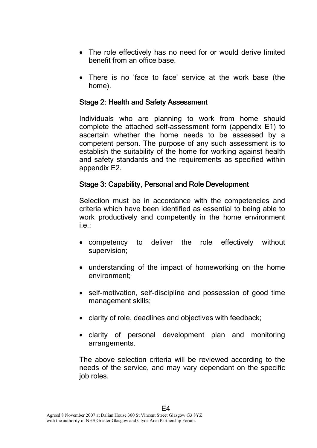- The role effectively has no need for or would derive limited benefit from an office base.
- There is no 'face to face' service at the work base (the home).

## Stage 2: Health and Safety Assessment

Individuals who are planning to work from home should complete the attached self-assessment form (appendix E1) to ascertain whether the home needs to be assessed by a competent person. The purpose of any such assessment is to establish the suitability of the home for working against health and safety standards and the requirements as specified within appendix E2.

## Stage 3: Capability, Personal and Role Development

Selection must be in accordance with the competencies and criteria which have been identified as essential to being able to work productively and competently in the home environment i.e.:

- competency to deliver the role effectively without supervision;
- understanding of the impact of homeworking on the home environment;
- self-motivation, self-discipline and possession of good time management skills;
- clarity of role, deadlines and objectives with feedback;
- clarity of personal development plan and monitoring arrangements.

The above selection criteria will be reviewed according to the needs of the service, and may vary dependant on the specific job roles.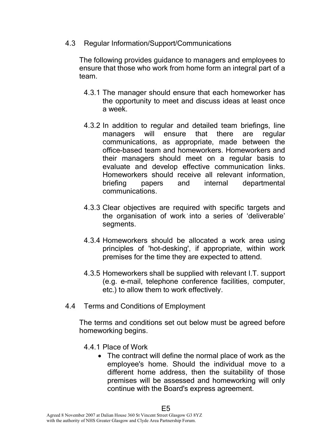4.3 Regular Information/Support/Communications

The following provides guidance to managers and employees to ensure that those who work from home form an integral part of a team.

- 4.3.1 The manager should ensure that each homeworker has the opportunity to meet and discuss ideas at least once a week.
- 4.3.2 In addition to regular and detailed team briefings, line managers will ensure that there are regular communications, as appropriate, made between the office-based team and homeworkers. Homeworkers and their managers should meet on a regular basis to evaluate and develop effective communication links. Homeworkers should receive all relevant information, briefing papers and internal departmental communications.
- 4.3.3 Clear objectives are required with specific targets and the organisation of work into a series of 'deliverable' segments.
- 4.3.4 Homeworkers should be allocated a work area using principles of 'hot-desking', if appropriate, within work premises for the time they are expected to attend.
- 4.3.5 Homeworkers shall be supplied with relevant I.T. support (e.g. e-mail, telephone conference facilities, computer, etc.) to allow them to work effectively.
- 4.4 Terms and Conditions of Employment

The terms and conditions set out below must be agreed before homeworking begins.

- 4.4.1 Place of Work
	- The contract will define the normal place of work as the employee's home. Should the individual move to a different home address, then the suitability of those premises will be assessed and homeworking will only continue with the Board's express agreement.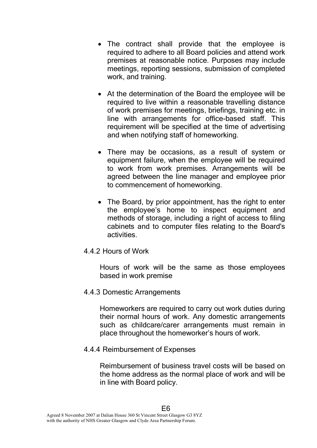- The contract shall provide that the employee is required to adhere to all Board policies and attend work premises at reasonable notice. Purposes may include meetings, reporting sessions, submission of completed work, and training.
- At the determination of the Board the employee will be required to live within a reasonable travelling distance of work premises for meetings, briefings, training etc. in line with arrangements for office-based staff. This requirement will be specified at the time of advertising and when notifying staff of homeworking.
- There may be occasions, as a result of system or equipment failure, when the employee will be required to work from work premises. Arrangements will be agreed between the line manager and employee prior to commencement of homeworking.
- The Board, by prior appointment, has the right to enter the employee's home to inspect equipment and methods of storage, including a right of access to filing cabinets and to computer files relating to the Board's activities.
- 4.4.2 Hours of Work

Hours of work will be the same as those employees based in work premise

4.4.3 Domestic Arrangements

Homeworkers are required to carry out work duties during their normal hours of work. Any domestic arrangements such as childcare/carer arrangements must remain in place throughout the homeworker's hours of work.

4.4.4 Reimbursement of Expenses

Reimbursement of business travel costs will be based on the home address as the normal place of work and will be in line with Board policy.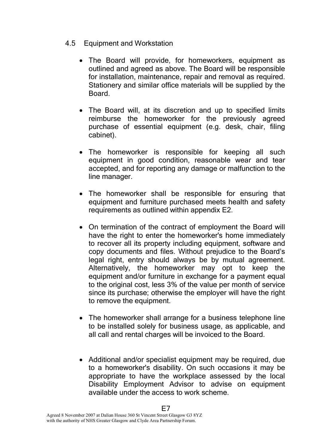## 4.5 Equipment and Workstation

- The Board will provide, for homeworkers, equipment as outlined and agreed as above. The Board will be responsible for installation, maintenance, repair and removal as required. Stationery and similar office materials will be supplied by the Board.
- The Board will, at its discretion and up to specified limits reimburse the homeworker for the previously agreed purchase of essential equipment (e.g. desk, chair, filing cabinet).
- The homeworker is responsible for keeping all such equipment in good condition, reasonable wear and tear accepted, and for reporting any damage or malfunction to the line manager.
- The homeworker shall be responsible for ensuring that equipment and furniture purchased meets health and safety requirements as outlined within appendix E2.
- On termination of the contract of employment the Board will have the right to enter the homeworker's home immediately to recover all its property including equipment, software and copy documents and files. Without prejudice to the Board's legal right, entry should always be by mutual agreement. Alternatively, the homeworker may opt to keep the equipment and/or furniture in exchange for a payment equal to the original cost, less 3% of the value per month of service since its purchase; otherwise the employer will have the right to remove the equipment.
- The homeworker shall arrange for a business telephone line to be installed solely for business usage, as applicable, and all call and rental charges will be invoiced to the Board.
- Additional and/or specialist equipment may be required, due to a homeworker's disability. On such occasions it may be appropriate to have the workplace assessed by the local Disability Employment Advisor to advise on equipment available under the access to work scheme.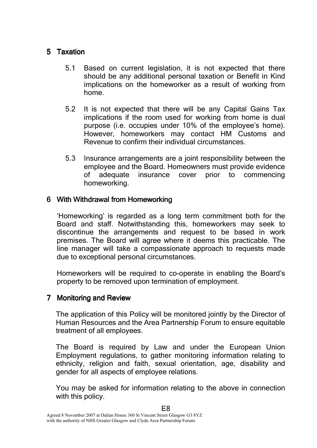## 5 Taxation

- 5.1 Based on current legislation, it is not expected that there should be any additional personal taxation or Benefit in Kind implications on the homeworker as a result of working from home.
- 5.2 It is not expected that there will be any Capital Gains Tax implications if the room used for working from home is dual purpose (i.e. occupies under 10% of the employee's home). However, homeworkers may contact HM Customs and Revenue to confirm their individual circumstances.
- 5.3 Insurance arrangements are a joint responsibility between the employee and the Board. Homeowners must provide evidence of adequate insurance cover prior to commencing homeworking.

## 6 With Withdrawal from Homeworking

'Homeworking' is regarded as a long term commitment both for the Board and staff. Notwithstanding this, homeworkers may seek to discontinue the arrangements and request to be based in work premises. The Board will agree where it deems this practicable. The line manager will take a compassionate approach to requests made due to exceptional personal circumstances.

Homeworkers will be required to co-operate in enabling the Board's property to be removed upon termination of employment.

# 7 Monitoring and Review

The application of this Policy will be monitored jointly by the Director of Human Resources and the Area Partnership Forum to ensure equitable treatment of all employees.

The Board is required by Law and under the European Union Employment regulations, to gather monitoring information relating to ethnicity, religion and faith, sexual orientation, age, disability and gender for all aspects of employee relations.

You may be asked for information relating to the above in connection with this policy.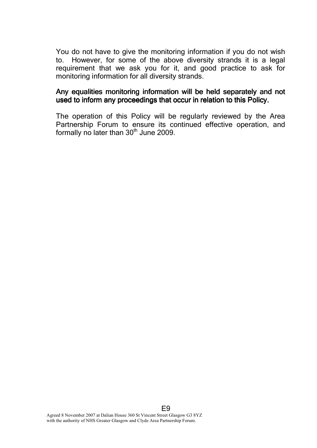You do not have to give the monitoring information if you do not wish to. However, for some of the above diversity strands it is a legal requirement that we ask you for it, and good practice to ask for monitoring information for all diversity strands.

#### Any equalities monitoring information will be held separately and not used to inform any proceedings that occur in relation to this Policy.

The operation of this Policy will be regularly reviewed by the Area Partnership Forum to ensure its continued effective operation, and formally no later than  $30<sup>th</sup>$  June 2009.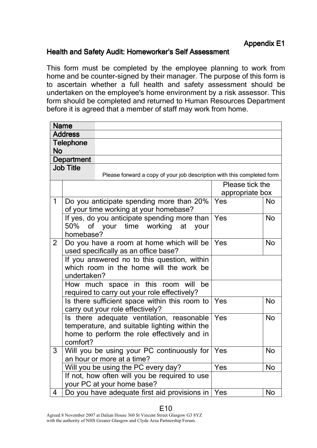#### Health and Safety Audit: Homeworker's Self Assessment

This form must be completed by the employee planning to work from home and be counter-signed by their manager. The purpose of this form is to ascertain whether a full health and safety assessment should be undertaken on the employee's home environment by a risk assessor. This form should be completed and returned to Human Resources Department before it is agreed that a member of staff may work from home.

|                   | <b>Name</b>                                                                        |      |                 |           |  |  |  |
|-------------------|------------------------------------------------------------------------------------|------|-----------------|-----------|--|--|--|
| <b>Address</b>    |                                                                                    |      |                 |           |  |  |  |
| <b>Telephone</b>  |                                                                                    |      |                 |           |  |  |  |
| <b>No</b>         |                                                                                    |      |                 |           |  |  |  |
| <b>Department</b> |                                                                                    |      |                 |           |  |  |  |
| <b>Job Title</b>  |                                                                                    |      |                 |           |  |  |  |
|                   | Please forward a copy of your job description with this completed form             |      |                 |           |  |  |  |
|                   |                                                                                    |      | Please tick the |           |  |  |  |
|                   |                                                                                    |      | appropriate box |           |  |  |  |
| $\mathbf{1}$      | Do you anticipate spending more than 20%<br>of your time working at your homebase? | Yes  |                 | <b>No</b> |  |  |  |
|                   | If yes, do you anticipate spending more than                                       | Yes  |                 | <b>No</b> |  |  |  |
|                   | 50% of your time working<br>at                                                     | your |                 |           |  |  |  |
|                   | homebase?                                                                          |      |                 |           |  |  |  |
| $\overline{2}$    | Do you have a room at home which will be                                           | Yes  |                 | <b>No</b> |  |  |  |
|                   | used specifically as an office base?                                               |      |                 |           |  |  |  |
|                   | If you answered no to this question, within                                        |      |                 |           |  |  |  |
|                   | which room in the home will the work be                                            |      |                 |           |  |  |  |
|                   | undertaken?                                                                        |      |                 |           |  |  |  |
|                   | How much space in this room will<br>be                                             |      |                 |           |  |  |  |
|                   | required to carry out your role effectively?                                       |      |                 |           |  |  |  |
|                   | Is there sufficient space within this room to                                      | Yes  |                 | <b>No</b> |  |  |  |
|                   | carry out your role effectively?                                                   |      |                 |           |  |  |  |
|                   | Is there adequate ventilation, reasonable                                          | Yes  |                 | <b>No</b> |  |  |  |
|                   | temperature, and suitable lighting within the                                      |      |                 |           |  |  |  |
|                   | home to perform the role effectively and in<br>comfort?                            |      |                 |           |  |  |  |
| 3                 |                                                                                    | Yes  |                 | <b>No</b> |  |  |  |
|                   | Will you be using your PC continuously for<br>an hour or more at a time?           |      |                 |           |  |  |  |
|                   | Will you be using the PC every day?                                                | Yes  |                 | <b>No</b> |  |  |  |
|                   | If not, how often will you be required to use                                      |      |                 |           |  |  |  |
|                   | your PC at your home base?                                                         |      |                 |           |  |  |  |
| 4                 | Do you have adequate first aid provisions in                                       | Yes  |                 | <b>No</b> |  |  |  |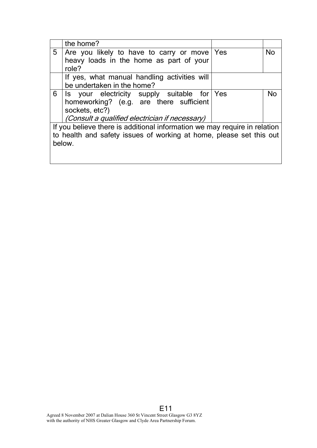|                                                                                                                                                            | the home?                                                                                                                                                         |     |           |  |  |
|------------------------------------------------------------------------------------------------------------------------------------------------------------|-------------------------------------------------------------------------------------------------------------------------------------------------------------------|-----|-----------|--|--|
| 5                                                                                                                                                          | Are you likely to have to carry or move<br>heavy loads in the home as part of your<br>role?                                                                       | Yes | <b>No</b> |  |  |
|                                                                                                                                                            | If yes, what manual handling activities will<br>be undertaken in the home?                                                                                        |     |           |  |  |
| 6                                                                                                                                                          | Is your electricity supply suitable for Yes<br>homeworking? (e.g. are there sufficient<br>sockets, etc?)<br><i>(Consult a qualified electrician if necessary)</i> |     | Nο        |  |  |
| If you believe there is additional information we may require in relation<br>to health and safety issues of working at home, please set this out<br>below. |                                                                                                                                                                   |     |           |  |  |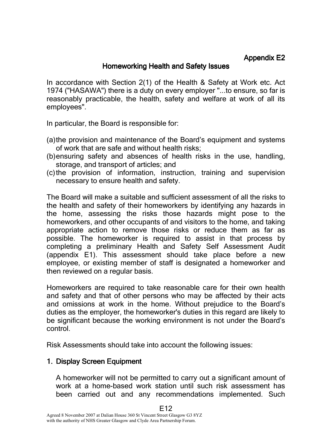# Appendix E2

#### Homeworking Health and Safety Issues

In accordance with Section 2(1) of the Health & Safety at Work etc. Act 1974 ("HASAWA") there is a duty on every employer "...to ensure, so far is reasonably practicable, the health, safety and welfare at work of all its employees".

In particular, the Board is responsible for:

- (a)the provision and maintenance of the Board's equipment and systems of work that are safe and without health risks;
- (b)ensuring safety and absences of health risks in the use, handling, storage, and transport of articles; and
- (c)the provision of information, instruction, training and supervision necessary to ensure health and safety.

The Board will make a suitable and sufficient assessment of all the risks to the health and safety of their homeworkers by identifying any hazards in the home, assessing the risks those hazards might pose to the homeworkers, and other occupants of and visitors to the home, and taking appropriate action to remove those risks or reduce them as far as possible. The homeworker is required to assist in that process by completing a preliminary Health and Safety Self Assessment Audit (appendix E1). This assessment should take place before a new employee, or existing member of staff is designated a homeworker and then reviewed on a regular basis.

Homeworkers are required to take reasonable care for their own health and safety and that of other persons who may be affected by their acts and omissions at work in the home. Without prejudice to the Board's duties as the employer, the homeworker's duties in this regard are likely to be significant because the working environment is not under the Board's control.

Risk Assessments should take into account the following issues:

# 1. Display Screen Equipment

A homeworker will not be permitted to carry out a significant amount of work at a home-based work station until such risk assessment has been carried out and any recommendations implemented. Such

E12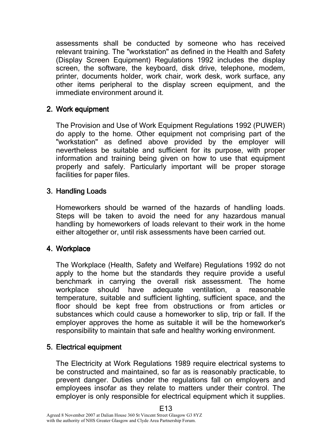assessments shall be conducted by someone who has received relevant training. The "workstation" as defined in the Health and Safety (Display Screen Equipment) Regulations 1992 includes the display screen, the software, the keyboard, disk drive, telephone, modem, printer, documents holder, work chair, work desk, work surface, any other items peripheral to the display screen equipment, and the immediate environment around it.

#### 2. Work equipment

The Provision and Use of Work Equipment Regulations 1992 (PUWER) do apply to the home. Other equipment not comprising part of the "workstation" as defined above provided by the employer will nevertheless be suitable and sufficient for its purpose, with proper information and training being given on how to use that equipment properly and safely. Particularly important will be proper storage facilities for paper files.

#### 3. Handling Loads

Homeworkers should be warned of the hazards of handling loads. Steps will be taken to avoid the need for any hazardous manual handling by homeworkers of loads relevant to their work in the home either altogether or, until risk assessments have been carried out.

#### 4. Workplace

The Workplace (Health, Safety and Welfare) Regulations 1992 do not apply to the home but the standards they require provide a useful benchmark in carrying the overall risk assessment. The home workplace should have adequate ventilation, a reasonable temperature, suitable and sufficient lighting, sufficient space, and the floor should be kept free from obstructions or from articles or substances which could cause a homeworker to slip, trip or fall. If the employer approves the home as suitable it will be the homeworker's responsibility to maintain that safe and healthy working environment.

#### 5. Electrical equipment

The Electricity at Work Regulations 1989 require electrical systems to be constructed and maintained, so far as is reasonably practicable, to prevent danger. Duties under the regulations fall on employers and employees insofar as they relate to matters under their control. The employer is only responsible for electrical equipment which it supplies.

E13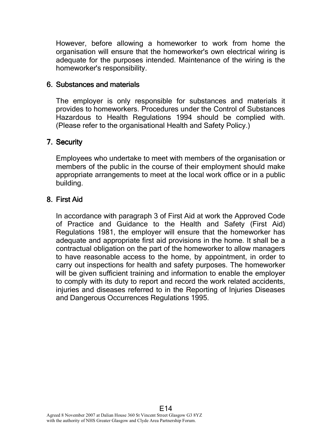However, before allowing a homeworker to work from home the organisation will ensure that the homeworker's own electrical wiring is adequate for the purposes intended. Maintenance of the wiring is the homeworker's responsibility.

#### 6. Substances and materials

The employer is only responsible for substances and materials it provides to homeworkers. Procedures under the Control of Substances Hazardous to Health Regulations 1994 should be complied with. (Please refer to the organisational Health and Safety Policy.)

# 7. Security

Employees who undertake to meet with members of the organisation or members of the public in the course of their employment should make appropriate arrangements to meet at the local work office or in a public building.

# 8. First Aid

In accordance with paragraph 3 of First Aid at work the Approved Code of Practice and Guidance to the Health and Safety (First Aid) Regulations 1981, the employer will ensure that the homeworker has adequate and appropriate first aid provisions in the home. It shall be a contractual obligation on the part of the homeworker to allow managers to have reasonable access to the home, by appointment, in order to carry out inspections for health and safety purposes. The homeworker will be given sufficient training and information to enable the employer to comply with its duty to report and record the work related accidents, injuries and diseases referred to in the Reporting of Injuries Diseases and Dangerous Occurrences Regulations 1995.